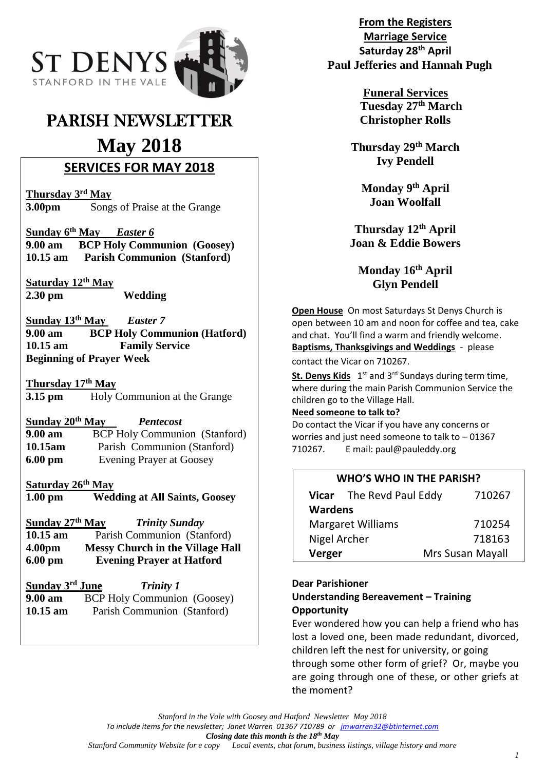

# PARISH NEWSLETTER

# **May 2018**

# **SERVICES FOR MAY 2018**

**Thursday 3rd May 3.00pm** Songs of Praise at the Grange

**Sunday 6th May** *Easter 6* **9.00 am BCP Holy Communion (Goosey) 10.15 am Parish Communion (Stanford)**

**Saturday 12th May 2.30 pm Wedding**

**Sunday 13th May** *Easter 7* **9.00 am BCP Holy Communion (Hatford) 10.15 am Family Service Beginning of Prayer Week**

**Thursday 17th May 3.15 pm** Holy Communion at the Grange

**Sunday 20th May** *Pentecost* **9.00 am**  BCP Holy Communion (Stanford) **10.15am** Parish Communion (Stanford) **6.00 pm** Evening Prayer at Goosey

# **Saturday 26th May**

**1.00 pm Wedding at All Saints, Goosey**

**Sunday 27th May** *Trinity Sunday* **10.15 am** Parish Communion (Stanford) **4.00pm Messy Church in the Village Hall 6.00 pm Evening Prayer at Hatford**

| Sunday 3rd June   | <b>Trinity 1</b>                   |
|-------------------|------------------------------------|
| $9.00 \text{ am}$ | <b>BCP Holy Communion</b> (Goosey) |
| $10.15$ am        | Parish Communion (Stanford)        |

**From the Registers Marriage Service Saturday 28th April Paul Jefferies and Hannah Pugh**

> **Funeral Services Tuesday 27th March Christopher Rolls**

**Thursday 29th March Ivy Pendell**

**Monday 9th April Joan Woolfall**

**Thursday 12th April Joan & Eddie Bowers**

**Monday 16th April Glyn Pendell**

**Open House** On most Saturdays St Denys Church is open between 10 am and noon for coffee and tea, cake and chat. You'll find a warm and friendly welcome. **Baptisms, Thanksgivings and Weddings** - please contact the Vicar on 710267.

**St. Denys Kids** 1<sup>st</sup> and 3<sup>rd</sup> Sundays during term time, where during the main Parish Communion Service the children go to the Village Hall.

# **Need someone to talk to?**

Do contact the Vicar if you have any concerns or worries and just need someone to talk to – 01367 710267. E mail: paul@pauleddy.org

# **WHO'S WHO IN THE PARISH?**

|                          | Vicar The Revd Paul Eddy | 710267           |  |  |
|--------------------------|--------------------------|------------------|--|--|
| <b>Wardens</b>           |                          |                  |  |  |
| <b>Margaret Williams</b> |                          | 710254           |  |  |
| Nigel Archer             |                          | 718163           |  |  |
| Verger                   |                          | Mrs Susan Mayall |  |  |

#### **Dear Parishioner**

**Understanding Bereavement – Training Opportunity**

Ever wondered how you can help a friend who has lost a loved one, been made redundant, divorced, children left the nest for university, or going through some other form of grief? Or, maybe you are going through one of these, or other griefs at the moment?

*Stanford in the Vale with Goosey and Hatford Newsletter May 2018*

*To include items for the newsletter; Janet Warren 01367 710789 or [jmwarren32@btinternet.com](mailto:jmwarren32@btinternet.com)*

*Closing date this month is the 18th May* Local events, chat forum, business listings, village history and more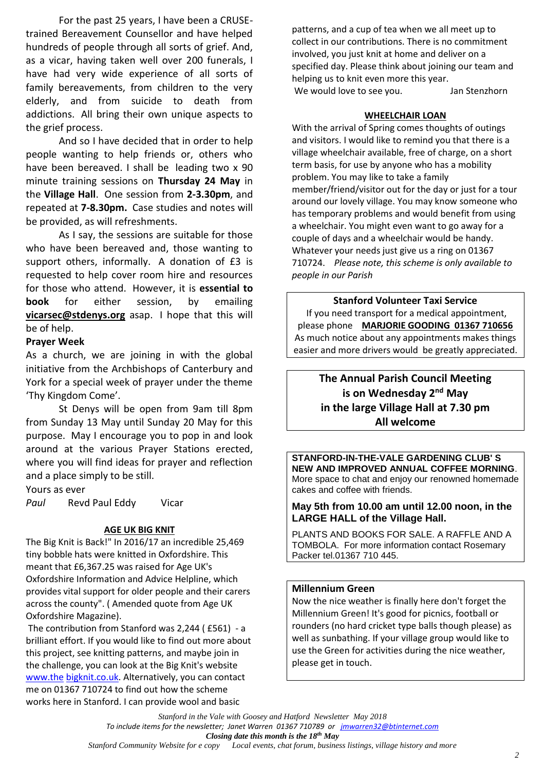For the past 25 years, I have been a CRUSEtrained Bereavement Counsellor and have helped hundreds of people through all sorts of grief. And, as a vicar, having taken well over 200 funerals, I have had very wide experience of all sorts of family bereavements, from children to the very elderly, and from suicide to death from addictions. All bring their own unique aspects to the grief process.

And so I have decided that in order to help people wanting to help friends or, others who have been bereaved. I shall be leading two x 90 minute training sessions on **Thursday 24 May** in the **Village Hall**. One session from **2-3.30pm**, and repeated at **7-8.30pm.** Case studies and notes will be provided, as will refreshments.

As I say, the sessions are suitable for those who have been bereaved and, those wanting to support others, informally. A donation of £3 is requested to help cover room hire and resources for those who attend. However, it is **essential to book** for either session, by emailing **[vicarsec@stdenys.org](mailto:vicarsec@stdenys.org)** asap. I hope that this will be of help.

#### **Prayer Week**

As a church, we are joining in with the global initiative from the Archbishops of Canterbury and York for a special week of prayer under the theme 'Thy Kingdom Come'.

St Denys will be open from 9am till 8pm from Sunday 13 May until Sunday 20 May for this purpose. May I encourage you to pop in and look around at the various Prayer Stations erected, where you will find ideas for prayer and reflection and a place simply to be still.

Yours as ever

*Paul* Revd Paul Eddy Vicar

#### **AGE UK BIG KNIT**

The Big Knit is Back!" In 2016/17 an incredible 25,469 tiny bobble hats were knitted in Oxfordshire. This meant that £6,367.25 was raised for Age UK's Oxfordshire Information and Advice Helpline, which provides vital support for older people and their carers across the county". ( Amended quote from Age UK Oxfordshire Magazine).

The contribution from Stanford was 2,244 ( £561) - a brilliant effort. If you would like to find out more about this project, see knitting patterns, and maybe join in the challenge, you can look at the Big Knit's website [www.the](http://www.the/) [bigknit.co.uk.](http://bigknit.co.uk/) Alternatively, you can contact me on 01367 710724 to find out how the scheme works here in Stanford. I can provide wool and basic

patterns, and a cup of tea when we all meet up to collect in our contributions. There is no commitment involved, you just knit at home and deliver on a specified day. Please think about joining our team and helping us to knit even more this year. We would love to see you. Jan Stenzhorn

#### **WHEELCHAIR LOAN**

With the arrival of Spring comes thoughts of outings and visitors. I would like to remind you that there is a village wheelchair available, free of charge, on a short term basis, for use by anyone who has a mobility problem. You may like to take a family member/friend/visitor out for the day or just for a tour around our lovely village. You may know someone who has temporary problems and would benefit from using a wheelchair. You might even want to go away for a couple of days and a wheelchair would be handy. Whatever your needs just give us a ring on 01367 710724. *Please note, this scheme is only available to people in our Parish*

**Stanford Volunteer Taxi Service** If you need transport for a medical appointment, please phone **MARJORIE GOODING 01367 710656** As much notice about any appointments makes things easier and more drivers would be greatly appreciated.

> **The Annual Parish Council Meeting** is on Wednesday 2<sup>nd</sup> May **in the large Village Hall at 7.30 pm All welcome**

**STANFORD-IN-THE-VALE GARDENING CLUB' S NEW AND IMPROVED ANNUAL COFFEE MORNING**. More space to chat and enjoy our renowned homemade cakes and coffee with friends.

#### **May 5th from 10.00 am until 12.00 noon, in the LARGE HALL of the Village Hall.**

PLANTS AND BOOKS FOR SALE. A RAFFLE AND A TOMBOLA. For more information contact Rosemary Packer tel.01367 710 445.

#### **Millennium Green**

Now the nice weather is finally here don't forget the Millennium Green! It's good for picnics, football or rounders (no hard cricket type balls though please) as well as sunbathing. If your village group would like to use the Green for activities during the nice weather, please get in touch.

*Stanford in the Vale with Goosey and Hatford Newsletter May 2018 To include items for the newsletter; Janet Warren 01367 710789 or [jmwarren32@btinternet.com](mailto:jmwarren32@btinternet.com) Closing date this month is the 18th May*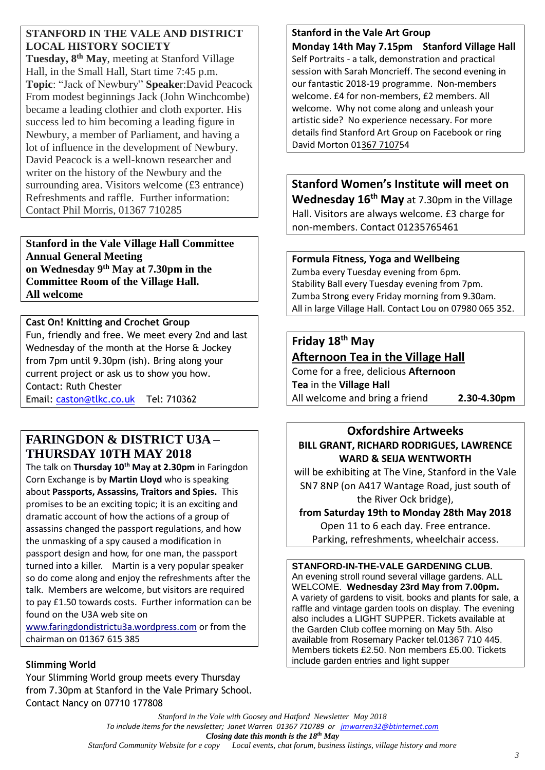# **STANFORD IN THE VALE AND DISTRICT LOCAL HISTORY SOCIETY**

**Tuesday, 8 th May**, meeting at Stanford Village Hall, in the Small Hall, Start time 7:45 p.m. **Topic**: "Jack of Newbury" **Speake**r:David Peacock From modest beginnings Jack (John Winchcombe) became a leading clothier and cloth exporter. His success led to him becoming a leading figure in Newbury, a member of Parliament, and having a lot of influence in the development of Newbury. David Peacock is a well-known researcher and writer on the history of the Newbury and the surrounding area. Visitors welcome (£3 entrance) Refreshments and raffle. Further information: Contact Phil Morris, 01367 710285

**Stanford in the Vale Village Hall Committee Annual General Meeting on Wednesday 9th May at 7.30pm in the Committee Room of the Village Hall. All welcome**

## **Cast On! Knitting and Crochet Group**

Fun, friendly and free. We meet every 2nd and last Wednesday of the month at the Horse & Jockey from 7pm until 9.30pm (ish). Bring along your current project or ask us to show you how. Contact: Ruth Chester Email: [caston@tlkc.co.uk](mailto:caston@tlkc.co.uk) Tel: 710362

# **FARINGDON & DISTRICT U3A – THURSDAY 10TH MAY 2018**

The talk on **Thursday 10th May at 2.30pm** in Faringdon Corn Exchange is by **Martin Lloyd** who is speaking about **Passports, Assassins, Traitors and Spies.** This promises to be an exciting topic; it is an exciting and dramatic account of how the actions of a group of assassins changed the passport regulations, and how the unmasking of a spy caused a modification in passport design and how, for one man, the passport turned into a killer. Martin is a very popular speaker so do come along and enjoy the refreshments after the talk. Members are welcome, but visitors are required to pay £1.50 towards costs. Further information can be found on the U3A web site on

[www.faringdondistrictu3a.wordpress.com](http://www.faringdondistrictu3a.wordpress.com/) or from the chairman on 01367 615 385

# **Slimming World**

Your Slimming World group meets every Thursday from 7.30pm at Stanford in the Vale Primary School. Contact Nancy on 07710 177808

# **Stanford in the Vale Art Group**

**Monday 14th May 7.15pm Stanford Village Hall** Self Portraits - a talk, demonstration and practical session with Sarah Moncrieff. The second evening in our fantastic 2018-19 programme. Non-members welcome. £4 for non-members, £2 members. All welcome. Why not come along and unleash your artistic side? No experience necessary. For more details find Stanford Art Group on Facebook or ring David Morton 0[1367 71075](callto:+1367%207107)4

**Stanford Women's Institute will meet on Wednesday 16 th May** at 7.30pm in the Village Hall. Visitors are always welcome. £3 charge for non-members. Contact 01235765461

## **Formula Fitness, Yoga and Wellbeing**

Zumba every Tuesday evening from 6pm. Stability Ball every Tuesday evening from 7pm. Zumba Strong every Friday morning from 9.30am. All in large Village Hall. Contact Lou on 07980 065 352.

# **Friday 18th May**

**Afternoon Tea in the Village Hall**

Come for a free, delicious **Afternoon Tea** in the **Village Hall** All welcome and bring a friend **2.30-4.30pm**

**Oxfordshire Artweeks BILL GRANT, RICHARD RODRIGUES, LAWRENCE WARD & SEIJA WENTWORTH**

will be exhibiting at The Vine, Stanford in the Vale SN7 8NP (on A417 Wantage Road, just south of the River Ock bridge),

# **from Saturday 19th to Monday 28th May 2018**

Open 11 to 6 each day. Free entrance.

Parking, refreshments, wheelchair access.

**STANFORD-IN-THE-VALE GARDENING CLUB.** An evening stroll round several village gardens. ALL WELCOME. **Wednesday 23rd May from 7.00pm.** A variety of gardens to visit, books and plants for sale, a raffle and vintage garden tools on display. The evening also includes a LIGHT SUPPER. Tickets available at the Garden Club coffee morning on May 5th. Also available from Rosemary Packer tel.01367 710 445. Members tickets £2.50. Non members £5.00. Tickets include garden entries and light supper

*Stanford in the Vale with Goosey and Hatford Newsletter May 2018 To include items for the newsletter; Janet Warren 01367 710789 or [jmwarren32@btinternet.com](mailto:jmwarren32@btinternet.com) Closing date this month is the 18th May* Local events, chat forum, business listings, village history and more